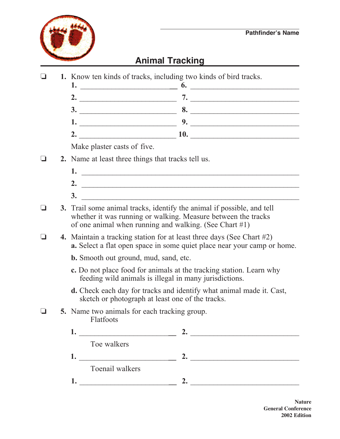

## **Animal Tracking**

 $\Box$  **1.** Know ten kinds of tracks, including two kinds of bird tracks.

**1.** \_\_\_\_\_\_\_\_\_\_\_\_\_\_\_\_\_\_\_\_\_\_\_**\_\_ 6.** \_\_\_\_\_\_\_\_\_\_\_\_\_\_\_\_\_\_\_\_\_\_\_\_\_\_\_\_ **2.** \_\_\_\_\_\_\_\_\_\_\_\_\_\_\_\_\_\_\_\_\_\_\_\_\_ **7.** \_\_\_\_\_\_\_\_\_\_\_\_\_\_\_\_\_\_\_\_\_\_\_\_\_\_\_\_ **3.** \_\_\_\_\_\_\_\_\_\_\_\_\_\_\_\_\_\_\_\_\_\_\_\_\_ **8.** \_\_\_\_\_\_\_\_\_\_\_\_\_\_\_\_\_\_\_\_\_\_\_\_\_\_\_\_ **1.** \_\_\_\_\_\_\_\_\_\_\_\_\_\_\_\_\_\_\_\_\_\_\_\_\_ **9.** \_\_\_\_\_\_\_\_\_\_\_\_\_\_\_\_\_\_\_\_\_\_\_\_\_\_\_\_ **2.** \_\_\_\_\_\_\_\_\_\_\_\_\_\_\_\_\_\_\_\_\_\_\_\_\_ **10.** \_\_\_\_\_\_\_\_\_\_\_\_\_\_\_\_\_\_\_\_\_\_\_\_\_\_\_\_ Make plaster casts of five.  $\Box$  **2.** Name at least three things that tracks tell us. **1.** \_\_\_\_\_\_\_\_\_\_\_\_\_\_\_\_\_\_\_\_\_\_\_\_\_\_\_\_\_\_\_\_\_\_\_\_\_\_\_\_\_\_\_\_\_\_\_\_\_\_\_\_\_\_\_\_ **2.** \_\_\_\_\_\_\_\_\_\_\_\_\_\_\_\_\_\_\_\_\_\_\_\_\_\_\_\_\_\_\_\_\_\_\_\_\_\_\_\_\_\_\_\_\_\_\_\_\_\_\_\_\_\_\_\_ **3.** \_\_\_\_\_\_\_\_\_\_\_\_\_\_\_\_\_\_\_\_\_\_\_\_\_\_\_\_\_\_\_\_\_\_\_\_\_\_\_\_\_\_\_\_\_\_\_\_\_\_\_\_\_\_\_\_ **3.** Trail some animal tracks, identify the animal if possible, and tell whether it was running or walking. Measure between the tracks of one animal when running and walking. (See Chart #1) o **4.** Maintain a tracking station for at least three days (See Chart #2) **a.** Select a flat open space in some quiet place near your camp or home.  **b.** Smooth out ground, mud, sand, etc. **c.** Do not place food for animals at the tracking station. Learn why feeding wild animals is illegal in many jurisdictions. **d.** Check each day for tracks and identify what animal made it. Cast, sketch or photograph at least one of the tracks.  $\Box$  5. Name two animals for each tracking group. Flatfoots **1.** \_\_\_\_\_\_\_\_\_\_\_\_\_\_\_\_\_\_\_\_\_\_\_**\_\_ 2.** \_\_\_\_\_\_\_\_\_\_\_\_\_\_\_\_\_\_\_\_\_\_\_\_\_\_\_\_ Toe walkers

- **1.** \_\_\_\_\_\_\_\_\_\_\_\_\_\_\_\_\_\_\_\_\_\_\_**\_\_ 2.** \_\_\_\_\_\_\_\_\_\_\_\_\_\_\_\_\_\_\_\_\_\_\_\_\_\_\_\_ Toenail walkers
- **1.** \_\_\_\_\_\_\_\_\_\_\_\_\_\_\_\_\_\_\_\_\_\_\_**\_\_ 2.** \_\_\_\_\_\_\_\_\_\_\_\_\_\_\_\_\_\_\_\_\_\_\_\_\_\_\_\_

**Nature General Conference 2002 Edition**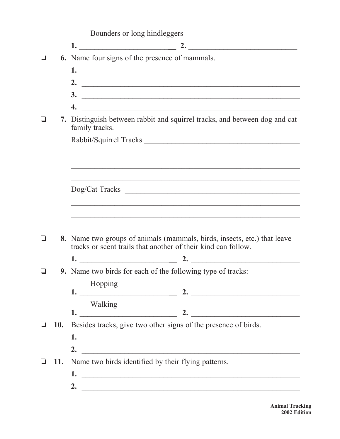|  |  |  | Bounders or long hindleggers |
|--|--|--|------------------------------|
|--|--|--|------------------------------|

|            | 6. Name four signs of the presence of mammals.                                                                        |
|------------|-----------------------------------------------------------------------------------------------------------------------|
|            |                                                                                                                       |
|            |                                                                                                                       |
|            |                                                                                                                       |
|            | $\overline{4.}$                                                                                                       |
|            | 7. Distinguish between rabbit and squirrel tracks, and between dog and cat<br>family tracks.                          |
|            | Rabbit/Squirrel Tracks                                                                                                |
|            |                                                                                                                       |
|            | <u> 1990 - Johann Harry Harry Harry Harry Harry Harry Harry Harry Harry Harry Harry Harry Harry Harry Harry Harry</u> |
|            | Dog/Cat Tracks                                                                                                        |
|            |                                                                                                                       |
|            |                                                                                                                       |
|            |                                                                                                                       |
|            |                                                                                                                       |
|            | <b>8.</b> Name two groups of animals (mammals, birds, insects, etc.) that leave                                       |
|            | tracks or scent trails that another of their kind can follow.                                                         |
|            |                                                                                                                       |
|            | <b>9.</b> Name two birds for each of the following type of tracks:                                                    |
|            | Hopping                                                                                                               |
|            | Walking                                                                                                               |
|            | 2. $\qquad \qquad$                                                                                                    |
| <b>10.</b> | Besides tracks, give two other signs of the presence of birds.                                                        |
|            |                                                                                                                       |
|            | 2. $\overline{\phantom{a}}$                                                                                           |
| <b>11.</b> | Name two birds identified by their flying patterns.<br>1.                                                             |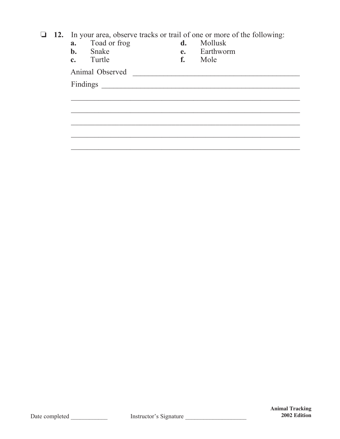**12.** In your area, observe tracks or trail of one or more of the following:

| a.             | Toad or frog    | d. | Mollusk   |
|----------------|-----------------|----|-----------|
| $b$ .          | Snake           | e. | Earthworm |
| $\mathbf{c}$ . | Turtle          | f. | Mole      |
|                | Animal Observed |    |           |
|                | Findings        |    |           |
|                |                 |    |           |
|                |                 |    |           |
|                |                 |    |           |
|                |                 |    |           |
|                |                 |    |           |
|                |                 |    |           |
|                |                 |    |           |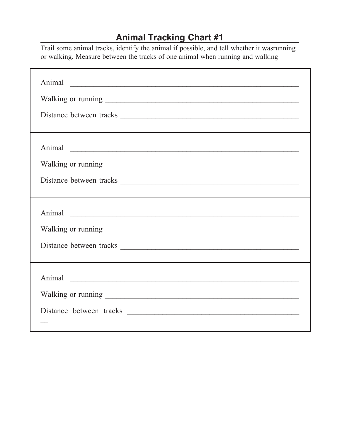## **Animal Tracking Chart #1**

Trail some animal tracks, identify the animal if possible, and tell whether it wasrunning or walking. Measure between the tracks of one animal when running and walking

| Animal |  |  |  |
|--------|--|--|--|
|        |  |  |  |
|        |  |  |  |
|        |  |  |  |
| Animal |  |  |  |
|        |  |  |  |
|        |  |  |  |
|        |  |  |  |
|        |  |  |  |
|        |  |  |  |
|        |  |  |  |
|        |  |  |  |
| Animal |  |  |  |
|        |  |  |  |
|        |  |  |  |
|        |  |  |  |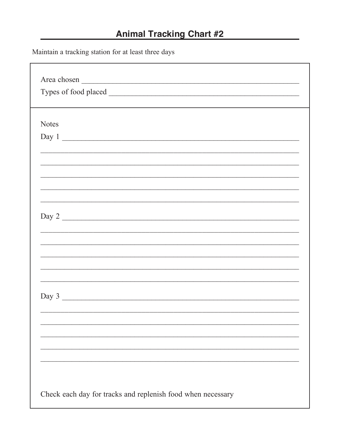## **Animal Tracking Chart #2**

Maintain a tracking station for at least three days

| Area chosen  |                                |  |       |  |
|--------------|--------------------------------|--|-------|--|
|              |                                |  |       |  |
| <b>Notes</b> |                                |  |       |  |
|              | Day 1                          |  |       |  |
|              |                                |  |       |  |
|              |                                |  |       |  |
|              |                                |  |       |  |
|              |                                |  |       |  |
|              |                                |  |       |  |
|              |                                |  |       |  |
|              |                                |  | Day 2 |  |
|              |                                |  |       |  |
|              |                                |  |       |  |
|              |                                |  |       |  |
|              |                                |  |       |  |
|              |                                |  |       |  |
|              |                                |  |       |  |
|              | Day $3 \overline{\phantom{a}}$ |  |       |  |
|              |                                |  |       |  |
|              |                                |  |       |  |
|              |                                |  |       |  |
|              |                                |  |       |  |
|              |                                |  |       |  |
|              |                                |  |       |  |
|              |                                |  |       |  |